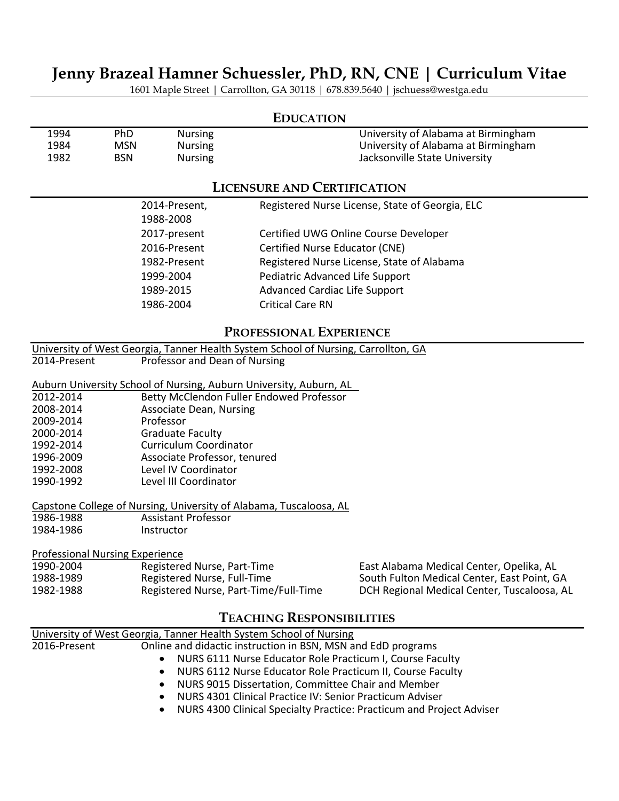# **Jenny Brazeal Hamner Schuessler, PhD, RN, CNE | Curriculum Vitae**

1601 Maple Street | Carrollton, GA 30118 | 678.839.5640 | jschuess@westga.edu

## **EDUCATION**

| 1994 | PhD | <b>Nursing</b> | University of Alabama at Birmingham |
|------|-----|----------------|-------------------------------------|
| 1984 | MSN | <b>Nursing</b> | University of Alabama at Birmingham |
| 1982 | BSN | <b>Nursing</b> | Jacksonville State University       |

## **LICENSURE AND CERTIFICATION**

| 2014-Present,<br>1988-2008 | Registered Nurse License, State of Georgia, ELC |
|----------------------------|-------------------------------------------------|
| 2017-present               | Certified UWG Online Course Developer           |
| 2016-Present               | Certified Nurse Educator (CNE)                  |
| 1982-Present               | Registered Nurse License, State of Alabama      |
| 1999-2004                  | Pediatric Advanced Life Support                 |
| 1989-2015                  | Advanced Cardiac Life Support                   |
| 1986-2004                  | <b>Critical Care RN</b>                         |
|                            |                                                 |

## **PROFESSIONAL EXPERIENCE**

University of West Georgia, Tanner Health System School of Nursing, Carrollton, GA Professor and Dean of Nursing

Auburn University School of Nursing, Auburn University, Auburn, AL<br>2012-2014 **Betty McClendon Fuller Endowed Professor** 

- 2012-2014 Betty McClendon Fuller Endowed Professor<br>2008-2014 Associate Dean. Nursing
- Associate Dean, Nursing
- 2009-2014 Professor
- **Graduate Faculty**
- 1992-2014 Curriculum Coordinator
- 1996-2009 Associate Professor, tenured
- 1992-2008 Level IV Coordinator
- 1990-1992 Level III Coordinator

## Capstone College of Nursing, University of Alabama, Tuscaloosa, AL

- 1986-1988 Assistant Professor<br>1984-1986 **Australian Instructor**
- 1984-1986

## Professional Nursing Experience

| 1990-2004 | Registered Nurse, Part-Time           |
|-----------|---------------------------------------|
| 1988-1989 | Registered Nurse, Full-Time           |
| 1982-1988 | Registered Nurse, Part-Time/Full-Time |

East Alabama Medical Center, Opelika, AL South Fulton Medical Center, East Point, GA DCH Regional Medical Center, Tuscaloosa, AL

## **TEACHING RESPONSIBILITIES**

|              | University of West Georgia, Tanner Health System School of Nursing                |  |  |
|--------------|-----------------------------------------------------------------------------------|--|--|
| 2016-Present | Online and didactic instruction in BSN, MSN and EdD programs                      |  |  |
|              | NURS 6111 Nurse Educator Role Practicum I, Course Faculty                         |  |  |
|              | NURS 6112 Nurse Educator Role Practicum II, Course Faculty<br>$\bullet$           |  |  |
|              | NURS 9015 Dissertation, Committee Chair and Member<br>$\bullet$                   |  |  |
|              | NURS 4301 Clinical Practice IV: Senior Practicum Adviser<br>$\bullet$             |  |  |
|              | NURS 4300 Clinical Specialty Practice: Practicum and Project Adviser<br>$\bullet$ |  |  |
|              |                                                                                   |  |  |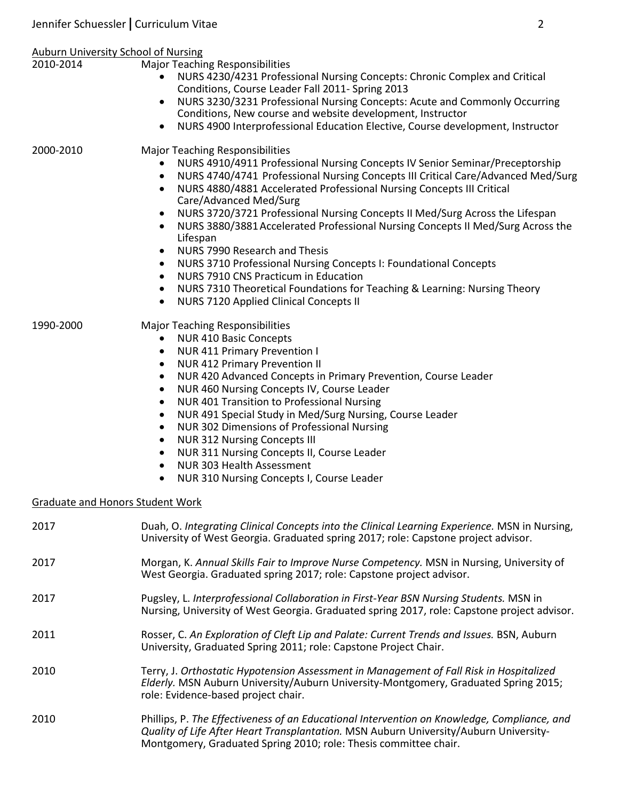| Auburn University School of Nursing     |                                                                                                                                                                                                                                                                                                                                                                                                                                                                                                                                                                                                                                                                                                                                                                                                                                                                                 |  |  |
|-----------------------------------------|---------------------------------------------------------------------------------------------------------------------------------------------------------------------------------------------------------------------------------------------------------------------------------------------------------------------------------------------------------------------------------------------------------------------------------------------------------------------------------------------------------------------------------------------------------------------------------------------------------------------------------------------------------------------------------------------------------------------------------------------------------------------------------------------------------------------------------------------------------------------------------|--|--|
| 2010-2014                               | <b>Major Teaching Responsibilities</b><br>NURS 4230/4231 Professional Nursing Concepts: Chronic Complex and Critical<br>Conditions, Course Leader Fall 2011- Spring 2013<br>NURS 3230/3231 Professional Nursing Concepts: Acute and Commonly Occurring<br>$\bullet$<br>Conditions, New course and website development, Instructor<br>NURS 4900 Interprofessional Education Elective, Course development, Instructor<br>$\bullet$                                                                                                                                                                                                                                                                                                                                                                                                                                                |  |  |
| 2000-2010                               | <b>Major Teaching Responsibilities</b><br>NURS 4910/4911 Professional Nursing Concepts IV Senior Seminar/Preceptorship<br>NURS 4740/4741 Professional Nursing Concepts III Critical Care/Advanced Med/Surg<br>$\bullet$<br>NURS 4880/4881 Accelerated Professional Nursing Concepts III Critical<br>$\bullet$<br>Care/Advanced Med/Surg<br>NURS 3720/3721 Professional Nursing Concepts II Med/Surg Across the Lifespan<br>$\bullet$<br>NURS 3880/3881 Accelerated Professional Nursing Concepts II Med/Surg Across the<br>Lifespan<br>NURS 7990 Research and Thesis<br>$\bullet$<br>NURS 3710 Professional Nursing Concepts I: Foundational Concepts<br>$\bullet$<br>NURS 7910 CNS Practicum in Education<br>$\bullet$<br>NURS 7310 Theoretical Foundations for Teaching & Learning: Nursing Theory<br>$\bullet$<br><b>NURS 7120 Applied Clinical Concepts II</b><br>$\bullet$ |  |  |
| 1990-2000                               | <b>Major Teaching Responsibilities</b><br><b>NUR 410 Basic Concepts</b><br>$\bullet$<br><b>NUR 411 Primary Prevention I</b><br>$\bullet$<br><b>NUR 412 Primary Prevention II</b><br>$\bullet$<br>NUR 420 Advanced Concepts in Primary Prevention, Course Leader<br>$\bullet$<br>NUR 460 Nursing Concepts IV, Course Leader<br>$\bullet$<br>NUR 401 Transition to Professional Nursing<br>$\bullet$<br>NUR 491 Special Study in Med/Surg Nursing, Course Leader<br>$\bullet$<br>NUR 302 Dimensions of Professional Nursing<br>$\bullet$<br><b>NUR 312 Nursing Concepts III</b><br>$\bullet$<br>NUR 311 Nursing Concepts II, Course Leader<br>NUR 303 Health Assessment<br>$\bullet$<br>NUR 310 Nursing Concepts I, Course Leader                                                                                                                                                 |  |  |
| <b>Graduate and Honors Student Work</b> |                                                                                                                                                                                                                                                                                                                                                                                                                                                                                                                                                                                                                                                                                                                                                                                                                                                                                 |  |  |
| 2017                                    | Duah, O. Integrating Clinical Concepts into the Clinical Learning Experience. MSN in Nursing,<br>University of West Georgia. Graduated spring 2017; role: Capstone project advisor.                                                                                                                                                                                                                                                                                                                                                                                                                                                                                                                                                                                                                                                                                             |  |  |
| 2017                                    | Morgan, K. Annual Skills Fair to Improve Nurse Competency. MSN in Nursing, University of<br>West Georgia. Graduated spring 2017; role: Capstone project advisor.                                                                                                                                                                                                                                                                                                                                                                                                                                                                                                                                                                                                                                                                                                                |  |  |
| 2017                                    | Pugsley, L. Interprofessional Collaboration in First-Year BSN Nursing Students. MSN in<br>Nursing, University of West Georgia. Graduated spring 2017, role: Capstone project advisor.                                                                                                                                                                                                                                                                                                                                                                                                                                                                                                                                                                                                                                                                                           |  |  |
| 2011                                    | Rosser, C. An Exploration of Cleft Lip and Palate: Current Trends and Issues. BSN, Auburn<br>University, Graduated Spring 2011; role: Capstone Project Chair.                                                                                                                                                                                                                                                                                                                                                                                                                                                                                                                                                                                                                                                                                                                   |  |  |
| 2010                                    | Terry, J. Orthostatic Hypotension Assessment in Management of Fall Risk in Hospitalized<br>Elderly. MSN Auburn University/Auburn University-Montgomery, Graduated Spring 2015;<br>role: Evidence-based project chair.                                                                                                                                                                                                                                                                                                                                                                                                                                                                                                                                                                                                                                                           |  |  |
| 2010                                    | Phillips, P. The Effectiveness of an Educational Intervention on Knowledge, Compliance, and<br>Quality of Life After Heart Transplantation. MSN Auburn University/Auburn University-                                                                                                                                                                                                                                                                                                                                                                                                                                                                                                                                                                                                                                                                                            |  |  |

Montgomery, Graduated Spring 2010; role: Thesis committee chair.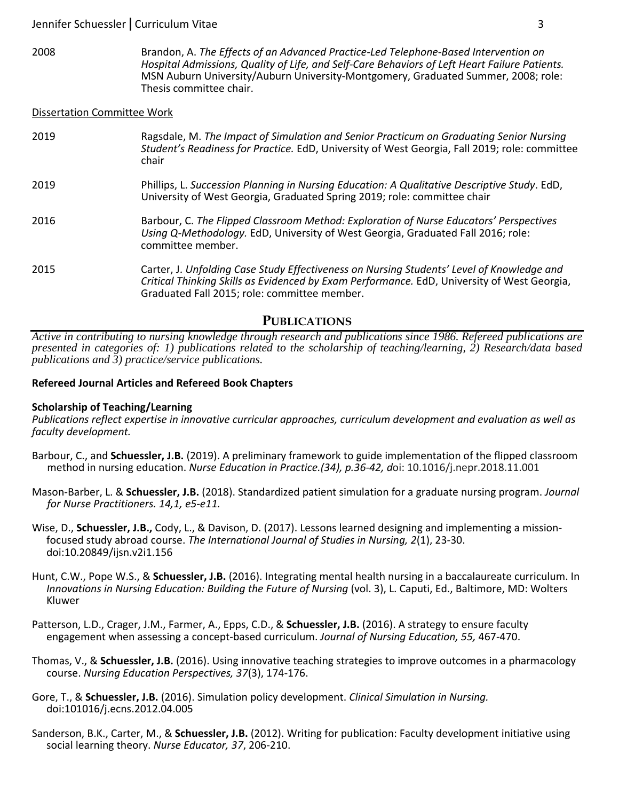2008 Brandon, A. *The Effects of an Advanced Practice-Led Telephone-Based Intervention on Hospital Admissions, Quality of Life, and Self-Care Behaviors of Left Heart Failure Patients.*  MSN Auburn University/Auburn University-Montgomery, Graduated Summer, 2008; role: Thesis committee chair.

#### Dissertation Committee Work

| 2019 | Ragsdale, M. The Impact of Simulation and Senior Practicum on Graduating Senior Nursing<br>Student's Readiness for Practice. EdD, University of West Georgia, Fall 2019; role: committee<br>chair                                        |
|------|------------------------------------------------------------------------------------------------------------------------------------------------------------------------------------------------------------------------------------------|
| 2019 | Phillips, L. Succession Planning in Nursing Education: A Qualitative Descriptive Study. EdD,<br>University of West Georgia, Graduated Spring 2019; role: committee chair                                                                 |
| 2016 | Barbour, C. The Flipped Classroom Method: Exploration of Nurse Educators' Perspectives<br>Using Q-Methodology. EdD, University of West Georgia, Graduated Fall 2016; role:<br>committee member.                                          |
| 2015 | Carter, J. Unfolding Case Study Effectiveness on Nursing Students' Level of Knowledge and<br>Critical Thinking Skills as Evidenced by Exam Performance. EdD, University of West Georgia,<br>Graduated Fall 2015; role: committee member. |

## **PUBLICATIONS**

*Active in contributing to nursing knowledge through research and publications since 1986. Refereed publications are presented in categories of: 1) publications related to the scholarship of teaching/learning, 2) Research/data based publications and 3) practice/service publications.* 

## **Refereed Journal Articles and Refereed Book Chapters**

#### **Scholarship of Teaching/Learning**

*Publications reflect expertise in innovative curricular approaches, curriculum development and evaluation as well as faculty development.*

- Barbour, C., and **Schuessler, J.B.** (2019). A preliminary framework to guide implementation of the flipped classroom method in nursing education. *Nurse Education in Practice.(34), p.36-42, d*oi: 10.1016/j.nepr.2018.11.001
- Mason-Barber, L. & **Schuessler, J.B.** (2018). Standardized patient simulation for a graduate nursing program. *Journal for Nurse Practitioners. 14,1, e5-e11.*
- Wise, D., **Schuessler, J.B.,** Cody, L., & Davison, D. (2017). Lessons learned designing and implementing a missionfocused study abroad course. *The International Journal of Studies in Nursing, 2*(1), 23-30. doi:10.20849/ijsn.v2i1.156
- Hunt, C.W., Pope W.S., & **Schuessler, J.B.** (2016). Integrating mental health nursing in a baccalaureate curriculum. In *Innovations in Nursing Education: Building the Future of Nursing* (vol. 3), L. Caputi, Ed., Baltimore, MD: Wolters Kluwer
- Patterson, L.D., Crager, J.M., Farmer, A., Epps, C.D., & **Schuessler, J.B.** (2016). A strategy to ensure faculty engagement when assessing a concept-based curriculum. *Journal of Nursing Education, 55,* 467-470.
- Thomas, V., & **Schuessler, J.B.** (2016). Using innovative teaching strategies to improve outcomes in a pharmacology course. *Nursing Education Perspectives, 37*(3), 174-176.
- Gore, T., & **Schuessler, J.B.** (2016). Simulation policy development. *Clinical Simulation in Nursing.*  doi:101016/j.ecns.2012.04.005
- Sanderson, B.K., Carter, M., & **Schuessler, J.B.** (2012). Writing for publication: Faculty development initiative using social learning theory. *Nurse Educator, 37*, 206-210.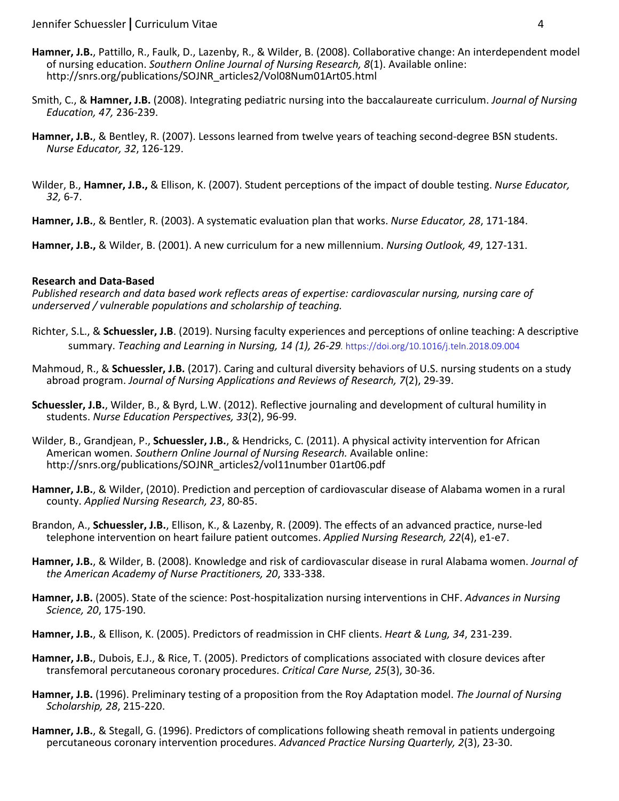- **Hamner, J.B.**, Pattillo, R., Faulk, D., Lazenby, R., & Wilder, B. (2008). Collaborative change: An interdependent model of nursing education. *Southern Online Journal of Nursing Research, 8*(1). Available online: http://snrs.org/publications/SOJNR\_articles2/Vol08Num01Art05.html
- Smith, C., & **Hamner, J.B.** (2008). Integrating pediatric nursing into the baccalaureate curriculum. *Journal of Nursing Education, 47,* 236-239.
- **Hamner, J.B.**, & Bentley, R. (2007). Lessons learned from twelve years of teaching second-degree BSN students. *Nurse Educator, 32*, 126-129.
- Wilder, B., **Hamner, J.B.,** & Ellison, K. (2007). Student perceptions of the impact of double testing. *Nurse Educator, 32,* 6-7.

**Hamner, J.B.**, & Bentler, R. (2003). A systematic evaluation plan that works. *Nurse Educator, 28*, 171-184.

**Hamner, J.B.,** & Wilder, B. (2001). A new curriculum for a new millennium. *Nursing Outlook, 49*, 127-131.

## **Research and Data-Based**

*Published research and data based work reflects areas of expertise: cardiovascular nursing, nursing care of underserved / vulnerable populations and scholarship of teaching.*

- Richter, S.L., & **Schuessler, J.B**. (2019). Nursing faculty experiences and perceptions of online teaching: A descriptive summary. *Teaching and Learning in Nursing, 14 (1), 26-29.* https://doi.org/10.1016/j.teln.2018.09.004
- Mahmoud, R., & **Schuessler, J.B.** (2017). Caring and cultural diversity behaviors of U.S. nursing students on a study abroad program. *Journal of Nursing Applications and Reviews of Research, 7*(2), 29-39.
- **Schuessler, J.B.**, Wilder, B., & Byrd, L.W. (2012). Reflective journaling and development of cultural humility in students. *Nurse Education Perspectives, 33*(2), 96-99.
- Wilder, B., Grandjean, P., **Schuessler, J.B.**, & Hendricks, C. (2011). A physical activity intervention for African American women. *Southern Online Journal of Nursing Research.* Available online: http://snrs.org/publications/SOJNR\_articles2/vol11number 01art06.pdf
- **Hamner, J.B.**, & Wilder, (2010). Prediction and perception of cardiovascular disease of Alabama women in a rural county. *Applied Nursing Research, 23*, 80-85.
- Brandon, A., **Schuessler, J.B.**, Ellison, K., & Lazenby, R. (2009). The effects of an advanced practice, nurse-led telephone intervention on heart failure patient outcomes. *Applied Nursing Research, 22*(4), e1-e7.
- **Hamner, J.B.**, & Wilder, B. (2008). Knowledge and risk of cardiovascular disease in rural Alabama women. *Journal of the American Academy of Nurse Practitioners, 20*, 333-338.
- **Hamner, J.B.** (2005). State of the science: Post-hospitalization nursing interventions in CHF. *Advances in Nursing Science, 20*, 175-190.
- **Hamner, J.B.**, & Ellison, K. (2005). Predictors of readmission in CHF clients. *Heart & Lung, 34*, 231-239.
- **Hamner, J.B.**, Dubois, E.J., & Rice, T. (2005). Predictors of complications associated with closure devices after transfemoral percutaneous coronary procedures. *Critical Care Nurse, 25*(3), 30-36.
- **Hamner, J.B.** (1996). Preliminary testing of a proposition from the Roy Adaptation model. *The Journal of Nursing Scholarship, 28*, 215-220.
- **Hamner, J.B.**, & Stegall, G. (1996). Predictors of complications following sheath removal in patients undergoing percutaneous coronary intervention procedures. *Advanced Practice Nursing Quarterly, 2*(3), 23-30.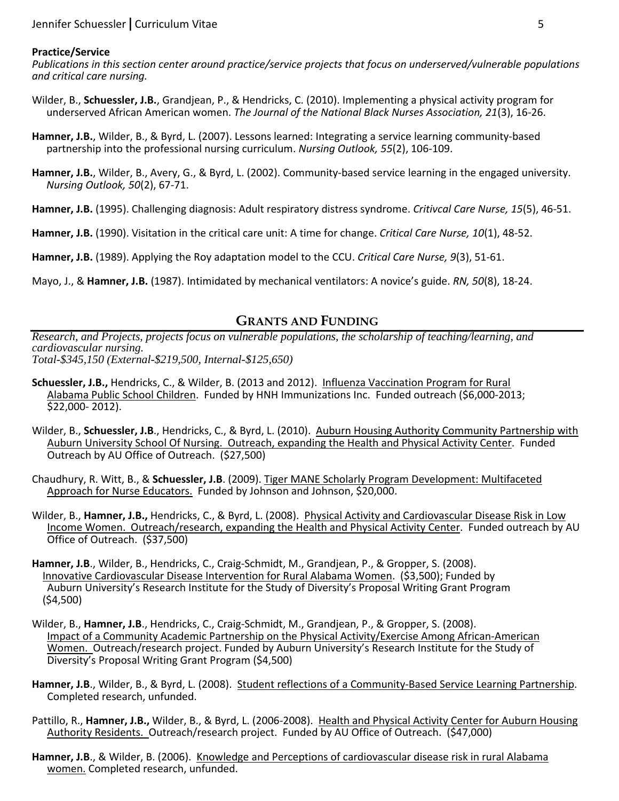#### **Practice/Service**

*Publications in this section center around practice/service projects that focus on underserved/vulnerable populations and critical care nursing.*

- Wilder, B., **Schuessler, J.B.**, Grandjean, P., & Hendricks, C. (2010). Implementing a physical activity program for underserved African American women. *The Journal of the National Black Nurses Association, 21*(3), 16-26.
- **Hamner, J.B.**, Wilder, B., & Byrd, L. (2007). Lessons learned: Integrating a service learning community-based partnership into the professional nursing curriculum. *Nursing Outlook, 55*(2), 106-109.
- **Hamner, J.B.**, Wilder, B., Avery, G., & Byrd, L. (2002). Community-based service learning in the engaged university. *Nursing Outlook, 50*(2), 67-71.
- **Hamner, J.B.** (1995). Challenging diagnosis: Adult respiratory distress syndrome. *Critivcal Care Nurse, 15*(5), 46-51.
- **Hamner, J.B.** (1990). Visitation in the critical care unit: A time for change. *Critical Care Nurse, 10*(1), 48-52.
- **Hamner, J.B.** (1989). Applying the Roy adaptation model to the CCU. *Critical Care Nurse, 9*(3), 51-61.
- Mayo, J., & **Hamner, J.B.** (1987). Intimidated by mechanical ventilators: A novice's guide. *RN, 50*(8), 18-24.

## **GRANTS AND FUNDING**

*Research, and Projects, projects focus on vulnerable populations, the scholarship of teaching/learning, and cardiovascular nursing. Total-\$345,150 (External-\$219,500, Internal-\$125,650)* 

- **Schuessler, J.B.,** Hendricks, C., & Wilder, B. (2013 and 2012). Influenza Vaccination Program for Rural Alabama Public School Children. Funded by HNH Immunizations Inc. Funded outreach (\$6,000-2013; \$22,000- 2012).
- Wilder, B., **Schuessler, J.B**., Hendricks, C., & Byrd, L. (2010). Auburn Housing Authority Community Partnership with Auburn University School Of Nursing. Outreach, expanding the Health and Physical Activity Center. Funded Outreach by AU Office of Outreach. (\$27,500)
- Chaudhury, R. Witt, B., & **Schuessler, J.B**. (2009). Tiger MANE Scholarly Program Development: Multifaceted Approach for Nurse Educators. Funded by Johnson and Johnson, \$20,000.
- Wilder, B., **Hamner, J.B.,** Hendricks, C., & Byrd, L. (2008). Physical Activity and Cardiovascular Disease Risk in Low Income Women. Outreach/research, expanding the Health and Physical Activity Center. Funded outreach by AU Office of Outreach. (\$37,500)
- **Hamner, J.B**., Wilder, B., Hendricks, C., Craig-Schmidt, M., Grandjean, P., & Gropper, S. (2008). Innovative Cardiovascular Disease Intervention for Rural Alabama Women. (\$3,500); Funded by Auburn University's Research Institute for the Study of Diversity's Proposal Writing Grant Program (\$4,500)
- Wilder, B., **Hamner, J.B**., Hendricks, C., Craig-Schmidt, M., Grandjean, P., & Gropper, S. (2008). Impact of a Community Academic Partnership on the Physical Activity/Exercise Among African-American Women. Outreach/research project. Funded by Auburn University's Research Institute for the Study of Diversity's Proposal Writing Grant Program (\$4,500)
- **Hamner, J.B**., Wilder, B., & Byrd, L. (2008). Student reflections of a Community-Based Service Learning Partnership. Completed research, unfunded.
- Pattillo, R., **Hamner, J.B.,** Wilder, B., & Byrd, L. (2006-2008). Health and Physical Activity Center for Auburn Housing Authority Residents. Outreach/research project. Funded by AU Office of Outreach. (\$47,000)
- **Hamner, J.B**., & Wilder, B. (2006). Knowledge and Perceptions of cardiovascular disease risk in rural Alabama women. Completed research, unfunded.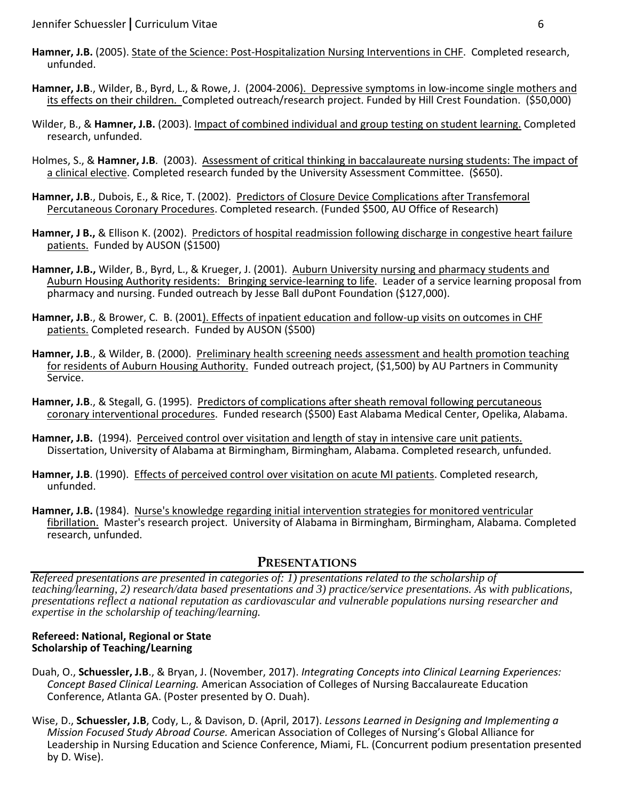- **Hamner, J.B.** (2005). State of the Science: Post-Hospitalization Nursing Interventions in CHF. Completed research, unfunded.
- **Hamner, J.B**., Wilder, B., Byrd, L., & Rowe, J. (2004-2006). Depressive symptoms in low-income single mothers and its effects on their children. Completed outreach/research project. Funded by Hill Crest Foundation. (\$50,000)
- Wilder, B., & **Hamner, J.B.** (2003). Impact of combined individual and group testing on student learning. Completed research, unfunded.
- Holmes, S., & **Hamner, J.B**. (2003). Assessment of critical thinking in baccalaureate nursing students: The impact of a clinical elective. Completed research funded by the University Assessment Committee. (\$650).
- **Hamner, J.B**., Dubois, E., & Rice, T. (2002). Predictors of Closure Device Complications after Transfemoral Percutaneous Coronary Procedures. Completed research. (Funded \$500, AU Office of Research)
- **Hamner, J B.,** & Ellison K. (2002). Predictors of hospital readmission following discharge in congestive heart failure patients. Funded by AUSON (\$1500)
- **Hamner, J.B.,** Wilder, B., Byrd, L., & Krueger, J. (2001). Auburn University nursing and pharmacy students and Auburn Housing Authority residents: Bringing service-learning to life. Leader of a service learning proposal from pharmacy and nursing. Funded outreach by Jesse Ball duPont Foundation (\$127,000).
- **Hamner, J.B**., & Brower, C. B. (2001). Effects of inpatient education and follow-up visits on outcomes in CHF patients. Completed research. Funded by AUSON (\$500)
- **Hamner, J.B**., & Wilder, B. (2000). Preliminary health screening needs assessment and health promotion teaching for residents of Auburn Housing Authority. Funded outreach project, (\$1,500) by AU Partners in Community Service.
- **Hamner, J.B**., & Stegall, G. (1995). Predictors of complications after sheath removal following percutaneous coronary interventional procedures. Funded research (\$500) East Alabama Medical Center, Opelika, Alabama.
- **Hamner, J.B.** (1994). Perceived control over visitation and length of stay in intensive care unit patients. Dissertation, University of Alabama at Birmingham, Birmingham, Alabama. Completed research, unfunded.
- **Hamner, J.B**. (1990). Effects of perceived control over visitation on acute MI patients. Completed research, unfunded.
- **Hamner, J.B.** (1984). Nurse's knowledge regarding initial intervention strategies for monitored ventricular fibrillation. Master's research project. University of Alabama in Birmingham, Birmingham, Alabama. Completed research, unfunded.

## **PRESENTATIONS**

*Refereed presentations are presented in categories of: 1) presentations related to the scholarship of teaching/learning, 2) research/data based presentations and 3) practice/service presentations. As with publications, presentations reflect a national reputation as cardiovascular and vulnerable populations nursing researcher and expertise in the scholarship of teaching/learning.* 

#### **Refereed: National, Regional or State Scholarship of Teaching/Learning**

- Duah, O., **Schuessler, J.B**., & Bryan, J. (November, 2017). *Integrating Concepts into Clinical Learning Experiences: Concept Based Clinical Learning.* American Association of Colleges of Nursing Baccalaureate Education Conference, Atlanta GA. (Poster presented by O. Duah).
- Wise, D., **Schuessler, J.B**, Cody, L., & Davison, D. (April, 2017). *Lessons Learned in Designing and Implementing a Mission Focused Study Abroad Course.* American Association of Colleges of Nursing's Global Alliance for Leadership in Nursing Education and Science Conference, Miami, FL. (Concurrent podium presentation presented by D. Wise).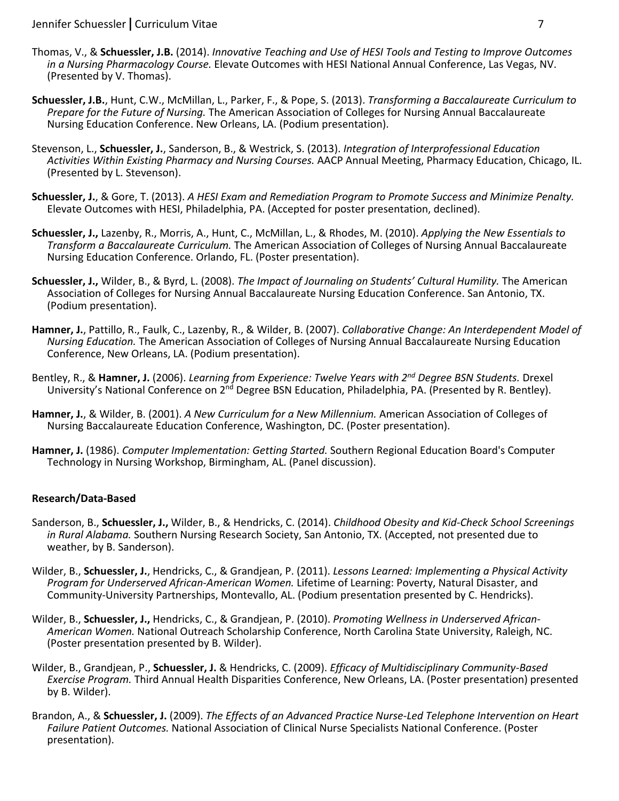- Thomas, V., & **Schuessler, J.B.** (2014). *Innovative Teaching and Use of HESI Tools and Testing to Improve Outcomes in a Nursing Pharmacology Course.* Elevate Outcomes with HESI National Annual Conference, Las Vegas, NV. (Presented by V. Thomas).
- **Schuessler, J.B.**, Hunt, C.W., McMillan, L., Parker, F., & Pope, S. (2013). *Transforming a Baccalaureate Curriculum to Prepare for the Future of Nursing.* The American Association of Colleges for Nursing Annual Baccalaureate Nursing Education Conference. New Orleans, LA. (Podium presentation).
- Stevenson, L., **Schuessler, J.**, Sanderson, B., & Westrick, S. (2013). *Integration of Interprofessional Education Activities Within Existing Pharmacy and Nursing Courses.* AACP Annual Meeting, Pharmacy Education, Chicago, IL. (Presented by L. Stevenson).
- **Schuessler, J.**, & Gore, T. (2013). *A HESI Exam and Remediation Program to Promote Success and Minimize Penalty.*  Elevate Outcomes with HESI, Philadelphia, PA. (Accepted for poster presentation, declined).
- **Schuessler, J.,** Lazenby, R., Morris, A., Hunt, C., McMillan, L., & Rhodes, M. (2010). *Applying the New Essentials to Transform a Baccalaureate Curriculum.* The American Association of Colleges of Nursing Annual Baccalaureate Nursing Education Conference. Orlando, FL. (Poster presentation).
- **Schuessler, J.,** Wilder, B., & Byrd, L. (2008). *The Impact of Journaling on Students' Cultural Humility.* The American Association of Colleges for Nursing Annual Baccalaureate Nursing Education Conference. San Antonio, TX. (Podium presentation).
- **Hamner, J.**, Pattillo, R., Faulk, C., Lazenby, R., & Wilder, B. (2007). *Collaborative Change: An Interdependent Model of Nursing Education.* The American Association of Colleges of Nursing Annual Baccalaureate Nursing Education Conference, New Orleans, LA. (Podium presentation).
- Bentley, R., & **Hamner, J.** (2006). *Learning from Experience: Twelve Years with 2nd Degree BSN Students.* Drexel University's National Conference on 2<sup>nd</sup> Degree BSN Education, Philadelphia, PA. (Presented by R. Bentley).
- **Hamner, J.**, & Wilder, B. (2001). *A New Curriculum for a New Millennium.* American Association of Colleges of Nursing Baccalaureate Education Conference, Washington, DC. (Poster presentation).
- **Hamner, J.** (1986). *Computer Implementation: Getting Started.* Southern Regional Education Board's Computer Technology in Nursing Workshop, Birmingham, AL. (Panel discussion).

## **Research/Data-Based**

- Sanderson, B., **Schuessler, J.,** Wilder, B., & Hendricks, C. (2014). *Childhood Obesity and Kid-Check School Screenings in Rural Alabama.* Southern Nursing Research Society, San Antonio, TX. (Accepted, not presented due to weather, by B. Sanderson).
- Wilder, B., **Schuessler, J.**, Hendricks, C., & Grandjean, P. (2011). *Lessons Learned: Implementing a Physical Activity Program for Underserved African-American Women.* Lifetime of Learning: Poverty, Natural Disaster, and Community-University Partnerships, Montevallo, AL. (Podium presentation presented by C. Hendricks).
- Wilder, B., **Schuessler, J.,** Hendricks, C., & Grandjean, P. (2010). *Promoting Wellness in Underserved African-American Women.* National Outreach Scholarship Conference, North Carolina State University, Raleigh, NC. (Poster presentation presented by B. Wilder).
- Wilder, B., Grandjean, P., **Schuessler, J.** & Hendricks, C. (2009). *Efficacy of Multidisciplinary Community-Based Exercise Program.* Third Annual Health Disparities Conference, New Orleans, LA. (Poster presentation) presented by B. Wilder).
- Brandon, A., & **Schuessler, J.** (2009). *The Effects of an Advanced Practice Nurse-Led Telephone Intervention on Heart Failure Patient Outcomes.* National Association of Clinical Nurse Specialists National Conference. (Poster presentation).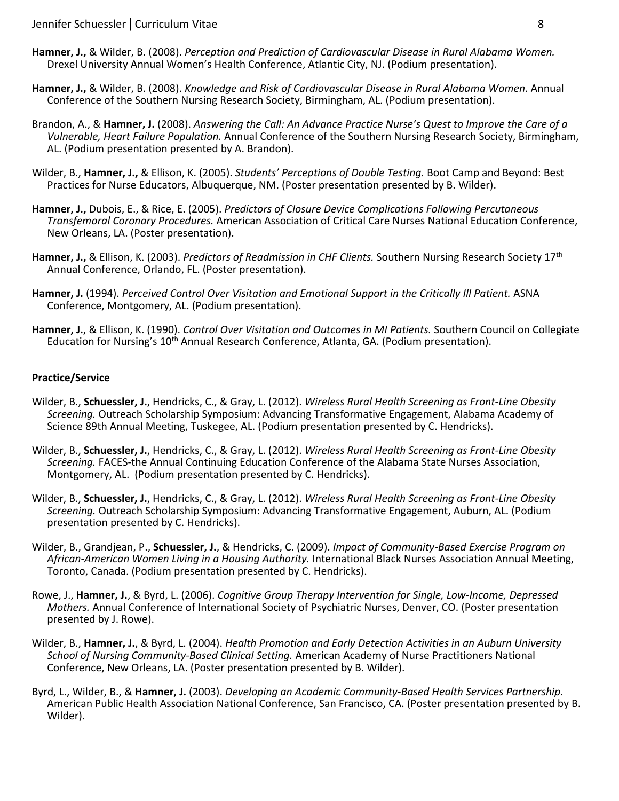- **Hamner, J.,** & Wilder, B. (2008). *Perception and Prediction of Cardiovascular Disease in Rural Alabama Women.*  Drexel University Annual Women's Health Conference, Atlantic City, NJ. (Podium presentation).
- **Hamner, J.,** & Wilder, B. (2008). *Knowledge and Risk of Cardiovascular Disease in Rural Alabama Women.* Annual Conference of the Southern Nursing Research Society, Birmingham, AL. (Podium presentation).
- Brandon, A., & **Hamner, J.** (2008). *Answering the Call: An Advance Practice Nurse's Quest to Improve the Care of a Vulnerable, Heart Failure Population.* Annual Conference of the Southern Nursing Research Society, Birmingham, AL. (Podium presentation presented by A. Brandon).
- Wilder, B., **Hamner, J.,** & Ellison, K. (2005). *Students' Perceptions of Double Testing.* Boot Camp and Beyond: Best Practices for Nurse Educators, Albuquerque, NM. (Poster presentation presented by B. Wilder).
- **Hamner, J.,** Dubois, E., & Rice, E. (2005). *Predictors of Closure Device Complications Following Percutaneous Transfemoral Coronary Procedures.* American Association of Critical Care Nurses National Education Conference, New Orleans, LA. (Poster presentation).
- **Hamner, J.,** & Ellison, K. (2003). *Predictors of Readmission in CHF Clients.* Southern Nursing Research Society 17th Annual Conference, Orlando, FL. (Poster presentation).
- **Hamner, J.** (1994). *Perceived Control Over Visitation and Emotional Support in the Critically Ill Patient.* ASNA Conference, Montgomery, AL. (Podium presentation).
- **Hamner, J.**, & Ellison, K. (1990). *Control Over Visitation and Outcomes in MI Patients.* Southern Council on Collegiate Education for Nursing's 10<sup>th</sup> Annual Research Conference, Atlanta, GA. (Podium presentation).

### **Practice/Service**

- Wilder, B., **Schuessler, J.**, Hendricks, C., & Gray, L. (2012). *Wireless Rural Health Screening as Front-Line Obesity Screening.* Outreach Scholarship Symposium: Advancing Transformative Engagement, Alabama Academy of Science 89th Annual Meeting, Tuskegee, AL. (Podium presentation presented by C. Hendricks).
- Wilder, B., **Schuessler, J.**, Hendricks, C., & Gray, L. (2012). *Wireless Rural Health Screening as Front-Line Obesity Screening.* FACES-the Annual Continuing Education Conference of the Alabama State Nurses Association, Montgomery, AL. (Podium presentation presented by C. Hendricks).
- Wilder, B., **Schuessler, J.**, Hendricks, C., & Gray, L. (2012). *Wireless Rural Health Screening as Front-Line Obesity Screening.* Outreach Scholarship Symposium: Advancing Transformative Engagement, Auburn, AL. (Podium presentation presented by C. Hendricks).
- Wilder, B., Grandjean, P., **Schuessler, J.**, & Hendricks, C. (2009). *Impact of Community-Based Exercise Program on African-American Women Living in a Housing Authority.* International Black Nurses Association Annual Meeting, Toronto, Canada. (Podium presentation presented by C. Hendricks).
- Rowe, J., **Hamner, J.**, & Byrd, L. (2006). *Cognitive Group Therapy Intervention for Single, Low-Income, Depressed Mothers.* Annual Conference of International Society of Psychiatric Nurses, Denver, CO. (Poster presentation presented by J. Rowe).
- Wilder, B., **Hamner, J.**, & Byrd, L. (2004). *Health Promotion and Early Detection Activities in an Auburn University School of Nursing Community-Based Clinical Setting.* American Academy of Nurse Practitioners National Conference, New Orleans, LA. (Poster presentation presented by B. Wilder).
- Byrd, L., Wilder, B., & **Hamner, J.** (2003). *Developing an Academic Community-Based Health Services Partnership.*  American Public Health Association National Conference, San Francisco, CA. (Poster presentation presented by B. Wilder).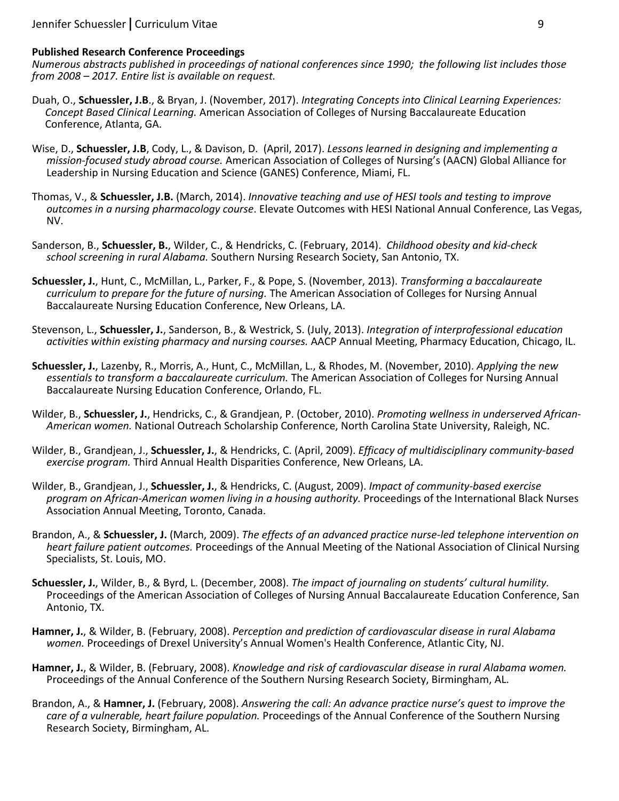#### **Published Research Conference Proceedings**

*Numerous abstracts published in proceedings of national conferences since 1990; the following list includes those from 2008 – 2017. Entire list is available on request.*

- Duah, O., **Schuessler, J.B**., & Bryan, J. (November, 2017). *Integrating Concepts into Clinical Learning Experiences: Concept Based Clinical Learning.* American Association of Colleges of Nursing Baccalaureate Education Conference, Atlanta, GA.
- Wise, D., **Schuessler, J.B**, Cody, L., & Davison, D. (April, 2017). *Lessons learned in designing and implementing a mission-focused study abroad course.* American Association of Colleges of Nursing's (AACN) Global Alliance for Leadership in Nursing Education and Science (GANES) Conference, Miami, FL.
- Thomas, V., & **Schuessler, J.B.** (March, 2014). *Innovative teaching and use of HESI tools and testing to improve outcomes in a nursing pharmacology course*. Elevate Outcomes with HESI National Annual Conference, Las Vegas, NV.
- Sanderson, B., **Schuessler, B.**, Wilder, C., & Hendricks, C. (February, 2014). *Childhood obesity and kid-check school screening in rural Alabama.* Southern Nursing Research Society, San Antonio, TX.
- **Schuessler, J.**, Hunt, C., McMillan, L., Parker, F., & Pope, S. (November, 2013). *Transforming a baccalaureate curriculum to prepare for the future of nursing.* The American Association of Colleges for Nursing Annual Baccalaureate Nursing Education Conference, New Orleans, LA.
- Stevenson, L., **Schuessler, J.**, Sanderson, B., & Westrick, S. (July, 2013). *Integration of interprofessional education activities within existing pharmacy and nursing courses.* AACP Annual Meeting, Pharmacy Education, Chicago, IL.
- **Schuessler, J.**, Lazenby, R., Morris, A., Hunt, C., McMillan, L., & Rhodes, M. (November, 2010). *Applying the new essentials to transform a baccalaureate curriculum.* The American Association of Colleges for Nursing Annual Baccalaureate Nursing Education Conference, Orlando, FL.
- Wilder, B., **Schuessler, J.**, Hendricks, C., & Grandjean, P. (October, 2010). *Promoting wellness in underserved African-American women.* National Outreach Scholarship Conference, North Carolina State University, Raleigh, NC.
- Wilder, B., Grandjean, J., **Schuessler, J.**, & Hendricks, C. (April, 2009). *Efficacy of multidisciplinary community-based exercise program.* Third Annual Health Disparities Conference, New Orleans, LA.
- Wilder, B., Grandjean, J., **Schuessler, J.**, & Hendricks, C. (August, 2009). *Impact of community-based exercise program on African-American women living in a housing authority.* Proceedings of the International Black Nurses Association Annual Meeting, Toronto, Canada.
- Brandon, A., & **Schuessler, J.** (March, 2009). *The effects of an advanced practice nurse-led telephone intervention on heart failure patient outcomes.* Proceedings of the Annual Meeting of the National Association of Clinical Nursing Specialists, St. Louis, MO.
- **Schuessler, J.**, Wilder, B., & Byrd, L. (December, 2008). *The impact of journaling on students' cultural humility.*  Proceedings of the American Association of Colleges of Nursing Annual Baccalaureate Education Conference, San Antonio, TX.
- **Hamner, J.**, & Wilder, B. (February, 2008). *Perception and prediction of cardiovascular disease in rural Alabama women.* Proceedings of Drexel University's Annual Women's Health Conference, Atlantic City, NJ.
- **Hamner, J.**, & Wilder, B. (February, 2008). *Knowledge and risk of cardiovascular disease in rural Alabama women.*  Proceedings of the Annual Conference of the Southern Nursing Research Society, Birmingham, AL.
- Brandon, A., & **Hamner, J.** (February, 2008). *Answering the call: An advance practice nurse's quest to improve the care of a vulnerable, heart failure population.* Proceedings of the Annual Conference of the Southern Nursing Research Society, Birmingham, AL.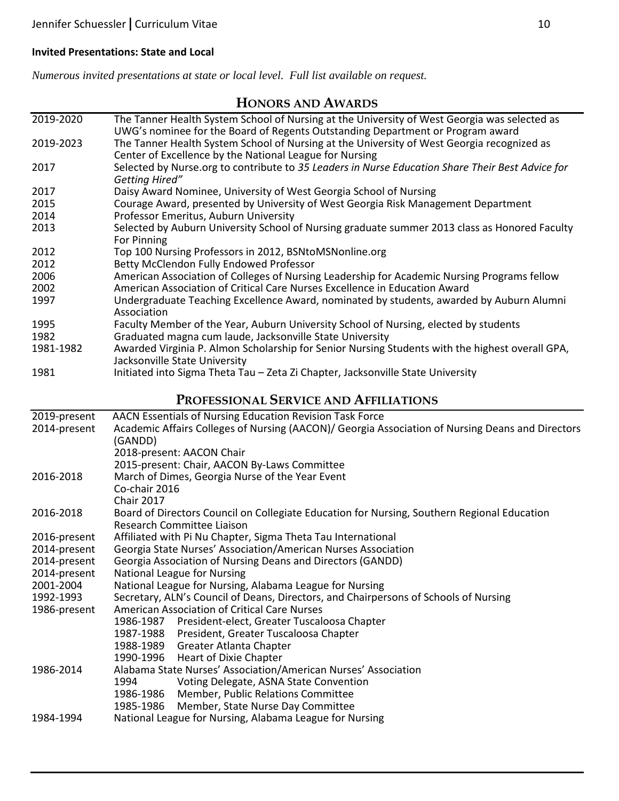## **Invited Presentations: State and Local**

*Numerous invited presentations at state or local level. Full list available on request.*

# **HONORS AND AWARDS**

| 2019-2020    | The Tanner Health System School of Nursing at the University of West Georgia was selected as<br>UWG's nominee for the Board of Regents Outstanding Department or Program award |  |
|--------------|--------------------------------------------------------------------------------------------------------------------------------------------------------------------------------|--|
| 2019-2023    | The Tanner Health System School of Nursing at the University of West Georgia recognized as                                                                                     |  |
|              | Center of Excellence by the National League for Nursing                                                                                                                        |  |
| 2017         | Selected by Nurse.org to contribute to 35 Leaders in Nurse Education Share Their Best Advice for                                                                               |  |
|              | Getting Hired"                                                                                                                                                                 |  |
| 2017         | Daisy Award Nominee, University of West Georgia School of Nursing                                                                                                              |  |
| 2015         | Courage Award, presented by University of West Georgia Risk Management Department                                                                                              |  |
| 2014         | Professor Emeritus, Auburn University                                                                                                                                          |  |
| 2013         | Selected by Auburn University School of Nursing graduate summer 2013 class as Honored Faculty<br>For Pinning                                                                   |  |
| 2012         | Top 100 Nursing Professors in 2012, BSNtoMSNonline.org                                                                                                                         |  |
| 2012         | Betty McClendon Fully Endowed Professor                                                                                                                                        |  |
| 2006         | American Association of Colleges of Nursing Leadership for Academic Nursing Programs fellow                                                                                    |  |
| 2002         | American Association of Critical Care Nurses Excellence in Education Award                                                                                                     |  |
| 1997         | Undergraduate Teaching Excellence Award, nominated by students, awarded by Auburn Alumni<br>Association                                                                        |  |
| 1995         | Faculty Member of the Year, Auburn University School of Nursing, elected by students                                                                                           |  |
| 1982         | Graduated magna cum laude, Jacksonville State University                                                                                                                       |  |
| 1981-1982    | Awarded Virginia P. Almon Scholarship for Senior Nursing Students with the highest overall GPA,                                                                                |  |
|              | Jacksonville State University                                                                                                                                                  |  |
| 1981         | Initiated into Sigma Theta Tau - Zeta Zi Chapter, Jacksonville State University                                                                                                |  |
|              | PROFESSIONAL SERVICE AND AFFILIATIONS                                                                                                                                          |  |
| 2019-present | AACN Essentials of Nursing Education Revision Task Force                                                                                                                       |  |
| 2014-present | Academic Affairs Colleges of Nursing (AACON)/ Georgia Association of Nursing Deans and Directors                                                                               |  |
|              | (GANDD)                                                                                                                                                                        |  |
|              | 2018-present: AACON Chair                                                                                                                                                      |  |
|              | 2015-present: Chair, AACON By-Laws Committee                                                                                                                                   |  |
| 2016-2018    | March of Dimes, Georgia Nurse of the Year Event                                                                                                                                |  |
|              | Co-chair 2016                                                                                                                                                                  |  |
|              | <b>Chair 2017</b>                                                                                                                                                              |  |
| 2016-2018    | Board of Directors Council on Collegiate Education for Nursing, Southern Regional Education                                                                                    |  |
|              | Research Committee Liaison                                                                                                                                                     |  |
| 2016-present | Affiliated with Pi Nu Chapter, Sigma Theta Tau International                                                                                                                   |  |
| 2014-present | Georgia State Nurses' Association/American Nurses Association                                                                                                                  |  |
| 2014-present | Georgia Association of Nursing Deans and Directors (GANDD)                                                                                                                     |  |
| 2014-present | <b>National League for Nursing</b>                                                                                                                                             |  |
| 2001-2004    | National League for Nursing, Alabama League for Nursing                                                                                                                        |  |
| 1992-1993    | Secretary, ALN's Council of Deans, Directors, and Chairpersons of Schools of Nursing                                                                                           |  |
| 1986-present | <b>American Association of Critical Care Nurses</b>                                                                                                                            |  |
|              | 1986-1987<br>President-elect, Greater Tuscaloosa Chapter                                                                                                                       |  |
|              | 1987-1988<br>President, Greater Tuscaloosa Chapter                                                                                                                             |  |
|              | 1988-1989<br>Greater Atlanta Chapter                                                                                                                                           |  |
|              | Heart of Dixie Chapter<br>1990-1996                                                                                                                                            |  |
| 1986-2014    | Alabama State Nurses' Association/American Nurses' Association                                                                                                                 |  |
|              | 1994<br>Voting Delegate, ASNA State Convention                                                                                                                                 |  |
|              | 1986-1986<br>Member, Public Relations Committee                                                                                                                                |  |
|              | 1985-1986<br>Member, State Nurse Day Committee                                                                                                                                 |  |
| 1984-1994    | National League for Nursing, Alabama League for Nursing                                                                                                                        |  |
|              |                                                                                                                                                                                |  |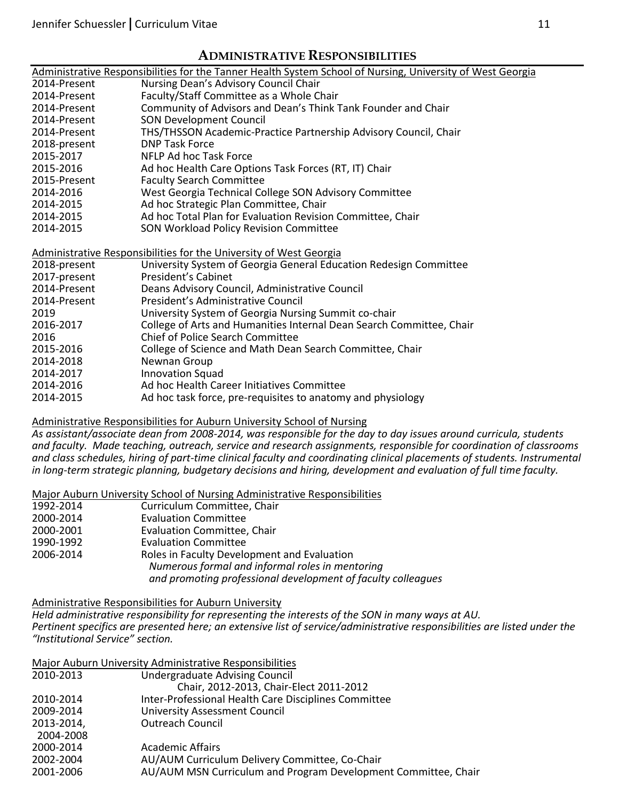## **ADMINISTRATIVE RESPONSIBILITIES**

|              | Administrative Responsibilities for the Tanner Health System School of Nursing, University of West Georgia |
|--------------|------------------------------------------------------------------------------------------------------------|
| 2014-Present | Nursing Dean's Advisory Council Chair                                                                      |
| 2014-Present | Faculty/Staff Committee as a Whole Chair                                                                   |
| 2014-Present | Community of Advisors and Dean's Think Tank Founder and Chair                                              |
| 2014-Present | <b>SON Development Council</b>                                                                             |
| 2014-Present | THS/THSSON Academic-Practice Partnership Advisory Council, Chair                                           |
| 2018-present | <b>DNP Task Force</b>                                                                                      |
| 2015-2017    | NFLP Ad hoc Task Force                                                                                     |
| 2015-2016    | Ad hoc Health Care Options Task Forces (RT, IT) Chair                                                      |
| 2015-Present | <b>Faculty Search Committee</b>                                                                            |
| 2014-2016    | West Georgia Technical College SON Advisory Committee                                                      |
| 2014-2015    | Ad hoc Strategic Plan Committee, Chair                                                                     |
| 2014-2015    | Ad hoc Total Plan for Evaluation Revision Committee, Chair                                                 |
| 2014-2015    | SON Workload Policy Revision Committee                                                                     |
|              |                                                                                                            |
|              | Administrative Responsibilities for the University of West Georgia                                         |
| 2018-present | University System of Georgia General Education Redesign Committee                                          |
| 2017-present | President's Cabinet                                                                                        |
| 2014-Present | Deans Advisory Council, Administrative Council                                                             |
| 2014-Present | President's Administrative Council                                                                         |
| 2019         | University System of Georgia Nursing Summit co-chair                                                       |
| 2016-2017    | College of Arts and Humanities Internal Dean Search Committee, Chair                                       |
| 2016         | Chief of Police Search Committee                                                                           |
| 2015-2016    | College of Science and Math Dean Search Committee, Chair                                                   |
| 2014-2018    | Newnan Group                                                                                               |
| 2014-2017    | <b>Innovation Squad</b>                                                                                    |
| 2014-2016    | Ad hoc Health Career Initiatives Committee                                                                 |
| 2014-2015    | Ad hoc task force, pre-requisites to anatomy and physiology                                                |
|              |                                                                                                            |

### Administrative Responsibilities for Auburn University School of Nursing

*As assistant/associate dean from 2008-2014, was responsible for the day to day issues around curricula, students and faculty. Made teaching, outreach, service and research assignments, responsible for coordination of classrooms and class schedules, hiring of part-time clinical faculty and coordinating clinical placements of students. Instrumental in long-term strategic planning, budgetary decisions and hiring, development and evaluation of full time faculty.*

Major Auburn University School of Nursing Administrative Responsibilities

| 1992-2014 | Curriculum Committee, Chair                                  |
|-----------|--------------------------------------------------------------|
| 2000-2014 | <b>Evaluation Committee</b>                                  |
| 2000-2001 | Evaluation Committee, Chair                                  |
| 1990-1992 | <b>Evaluation Committee</b>                                  |
| 2006-2014 | Roles in Faculty Development and Evaluation                  |
|           | Numerous formal and informal roles in mentoring              |
|           | and promoting professional development of faculty colleagues |

#### Administrative Responsibilities for Auburn University

*Held administrative responsibility for representing the interests of the SON in many ways at AU. Pertinent specifics are presented here; an extensive list of service/administrative responsibilities are listed under the "Institutional Service" section.*

|           | Major Auburn University Administrative Responsibilities |
|-----------|---------------------------------------------------------|
| בנמר הנחר | Undergraduate Advising Council                          |

| 2010-2013  | <b>Undergraduate Advising Council</b>                          |
|------------|----------------------------------------------------------------|
|            | Chair, 2012-2013, Chair-Elect 2011-2012                        |
| 2010-2014  | Inter-Professional Health Care Disciplines Committee           |
| 2009-2014  | <b>University Assessment Council</b>                           |
| 2013-2014, | <b>Outreach Council</b>                                        |
| 2004-2008  |                                                                |
| 2000-2014  | <b>Academic Affairs</b>                                        |
| 2002-2004  | AU/AUM Curriculum Delivery Committee, Co-Chair                 |
| 2001-2006  | AU/AUM MSN Curriculum and Program Development Committee, Chair |
|            |                                                                |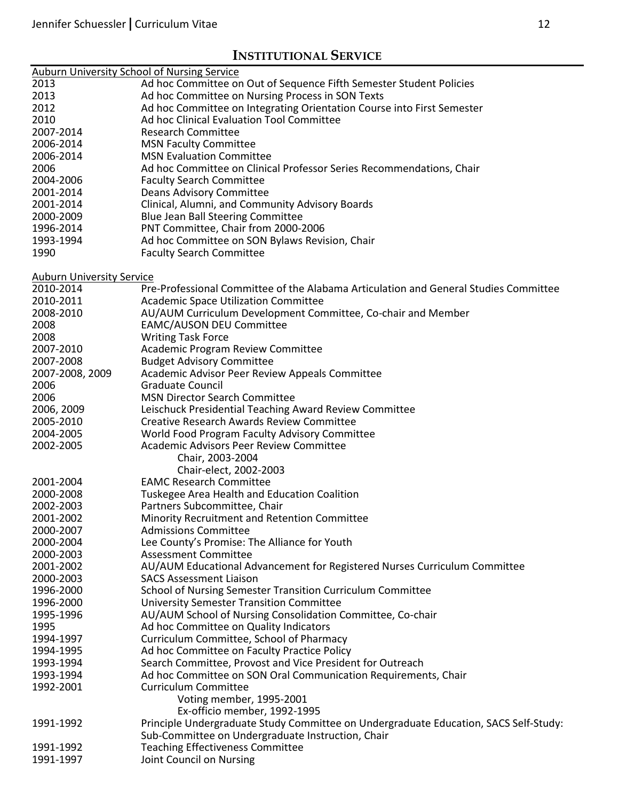# **INSTITUTIONAL SERVICE**

| <b>Auburn University School of Nursing Service</b> |                                                                                      |
|----------------------------------------------------|--------------------------------------------------------------------------------------|
| 2013                                               | Ad hoc Committee on Out of Sequence Fifth Semester Student Policies                  |
| 2013                                               | Ad hoc Committee on Nursing Process in SON Texts                                     |
| 2012                                               | Ad hoc Committee on Integrating Orientation Course into First Semester               |
| 2010                                               | Ad hoc Clinical Evaluation Tool Committee                                            |
| 2007-2014                                          | <b>Research Committee</b>                                                            |
| 2006-2014                                          | <b>MSN Faculty Committee</b>                                                         |
| 2006-2014                                          | <b>MSN Evaluation Committee</b>                                                      |
| 2006                                               | Ad hoc Committee on Clinical Professor Series Recommendations, Chair                 |
| 2004-2006                                          | <b>Faculty Search Committee</b>                                                      |
| 2001-2014                                          | <b>Deans Advisory Committee</b>                                                      |
| 2001-2014                                          | Clinical, Alumni, and Community Advisory Boards                                      |
| 2000-2009                                          | Blue Jean Ball Steering Committee                                                    |
| 1996-2014                                          |                                                                                      |
|                                                    | PNT Committee, Chair from 2000-2006                                                  |
| 1993-1994                                          | Ad hoc Committee on SON Bylaws Revision, Chair                                       |
| 1990                                               | <b>Faculty Search Committee</b>                                                      |
|                                                    |                                                                                      |
| <b>Auburn University Service</b><br>2010-2014      | Pre-Professional Committee of the Alabama Articulation and General Studies Committee |
| 2010-2011                                          | Academic Space Utilization Committee                                                 |
| 2008-2010                                          | AU/AUM Curriculum Development Committee, Co-chair and Member                         |
| 2008                                               | <b>EAMC/AUSON DEU Committee</b>                                                      |
| 2008                                               |                                                                                      |
| 2007-2010                                          | <b>Writing Task Force</b>                                                            |
|                                                    | Academic Program Review Committee                                                    |
| 2007-2008                                          | <b>Budget Advisory Committee</b>                                                     |
| 2007-2008, 2009                                    | Academic Advisor Peer Review Appeals Committee                                       |
| 2006                                               | Graduate Council                                                                     |
| 2006                                               | <b>MSN Director Search Committee</b>                                                 |
| 2006, 2009                                         | Leischuck Presidential Teaching Award Review Committee                               |
| 2005-2010                                          | <b>Creative Research Awards Review Committee</b>                                     |
| 2004-2005                                          | World Food Program Faculty Advisory Committee                                        |
| 2002-2005                                          | Academic Advisors Peer Review Committee                                              |
|                                                    | Chair, 2003-2004                                                                     |
|                                                    | Chair-elect, 2002-2003                                                               |
| 2001-2004                                          | <b>EAMC Research Committee</b>                                                       |
| 2000-2008                                          | Tuskegee Area Health and Education Coalition                                         |
| 2002-2003                                          | Partners Subcommittee, Chair                                                         |
| 2001-2002                                          | <b>Minority Recruitment and Retention Committee</b>                                  |
| 2000-2007                                          | <b>Admissions Committee</b>                                                          |
| 2000-2004                                          | Lee County's Promise: The Alliance for Youth                                         |
| 2000-2003                                          | <b>Assessment Committee</b>                                                          |
| 2001-2002                                          | AU/AUM Educational Advancement for Registered Nurses Curriculum Committee            |
| 2000-2003                                          | <b>SACS Assessment Liaison</b>                                                       |
| 1996-2000                                          | School of Nursing Semester Transition Curriculum Committee                           |
| 1996-2000                                          | <b>University Semester Transition Committee</b>                                      |
| 1995-1996                                          | AU/AUM School of Nursing Consolidation Committee, Co-chair                           |
| 1995                                               | Ad hoc Committee on Quality Indicators                                               |
| 1994-1997                                          | Curriculum Committee, School of Pharmacy                                             |
| 1994-1995                                          | Ad hoc Committee on Faculty Practice Policy                                          |
| 1993-1994                                          | Search Committee, Provost and Vice President for Outreach                            |
| 1993-1994                                          | Ad hoc Committee on SON Oral Communication Requirements, Chair                       |
| 1992-2001                                          | Curriculum Committee                                                                 |
|                                                    | Voting member, 1995-2001                                                             |
|                                                    | Ex-officio member, 1992-1995                                                         |
| 1991-1992                                          | Principle Undergraduate Study Committee on Undergraduate Education, SACS Self-Study: |
|                                                    | Sub-Committee on Undergraduate Instruction, Chair                                    |
|                                                    |                                                                                      |
| 1991-1992                                          | <b>Teaching Effectiveness Committee</b>                                              |
| 1991-1997                                          | Joint Council on Nursing                                                             |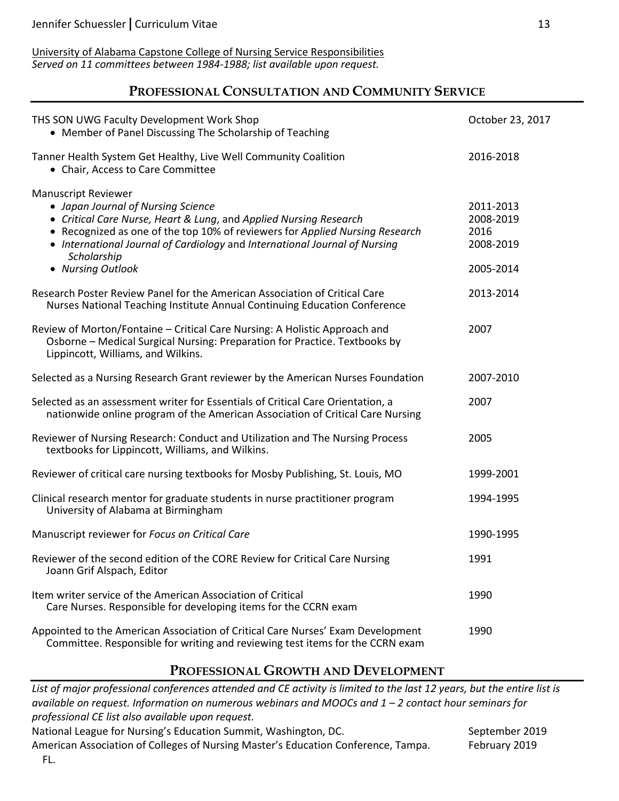University of Alabama Capstone College of Nursing Service Responsibilities *Served on 11 committees between 1984-1988; list available upon request.*

## **PROFESSIONAL CONSULTATION AND COMMUNITY SERVICE**

| THS SON UWG Faculty Development Work Shop<br>• Member of Panel Discussing The Scholarship of Teaching                                                                                                                                                                                                                                   | October 23, 2017                                         |
|-----------------------------------------------------------------------------------------------------------------------------------------------------------------------------------------------------------------------------------------------------------------------------------------------------------------------------------------|----------------------------------------------------------|
| Tanner Health System Get Healthy, Live Well Community Coalition<br>• Chair, Access to Care Committee                                                                                                                                                                                                                                    | 2016-2018                                                |
| <b>Manuscript Reviewer</b><br>• Japan Journal of Nursing Science<br>• Critical Care Nurse, Heart & Lung, and Applied Nursing Research<br>• Recognized as one of the top 10% of reviewers for Applied Nursing Research<br>• International Journal of Cardiology and International Journal of Nursing<br>Scholarship<br>• Nursing Outlook | 2011-2013<br>2008-2019<br>2016<br>2008-2019<br>2005-2014 |
| Research Poster Review Panel for the American Association of Critical Care<br>Nurses National Teaching Institute Annual Continuing Education Conference                                                                                                                                                                                 | 2013-2014                                                |
| Review of Morton/Fontaine - Critical Care Nursing: A Holistic Approach and<br>Osborne - Medical Surgical Nursing: Preparation for Practice. Textbooks by<br>Lippincott, Williams, and Wilkins.                                                                                                                                          | 2007                                                     |
| Selected as a Nursing Research Grant reviewer by the American Nurses Foundation                                                                                                                                                                                                                                                         | 2007-2010                                                |
| Selected as an assessment writer for Essentials of Critical Care Orientation, a<br>nationwide online program of the American Association of Critical Care Nursing                                                                                                                                                                       | 2007                                                     |
| Reviewer of Nursing Research: Conduct and Utilization and The Nursing Process<br>textbooks for Lippincott, Williams, and Wilkins.                                                                                                                                                                                                       | 2005                                                     |
| Reviewer of critical care nursing textbooks for Mosby Publishing, St. Louis, MO                                                                                                                                                                                                                                                         | 1999-2001                                                |
| Clinical research mentor for graduate students in nurse practitioner program<br>University of Alabama at Birmingham                                                                                                                                                                                                                     | 1994-1995                                                |
| Manuscript reviewer for Focus on Critical Care                                                                                                                                                                                                                                                                                          | 1990-1995                                                |
| Reviewer of the second edition of the CORE Review for Critical Care Nursing<br>Joann Grif Alspach, Editor                                                                                                                                                                                                                               | 1991                                                     |
| Item writer service of the American Association of Critical<br>Care Nurses. Responsible for developing items for the CCRN exam                                                                                                                                                                                                          | 1990                                                     |
| Appointed to the American Association of Critical Care Nurses' Exam Development<br>Committee. Responsible for writing and reviewing test items for the CCRN exam                                                                                                                                                                        | 1990                                                     |

# **PROFESSIONAL GROWTH AND DEVELOPMENT**

*List of major professional conferences attended and CE activity is limited to the last 12 years, but the entire list is available on request. Information on numerous webinars and MOOCs and 1 – 2 contact hour seminars for professional CE list also available upon request.*

National League for Nursing's Education Summit, Washington, DC. September 2019

American Association of Colleges of Nursing Master's Education Conference, Tampa. February 2019 FL.